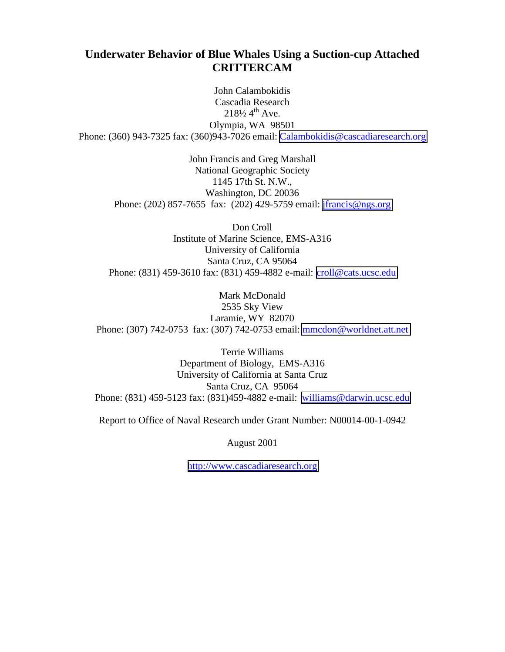# **Underwater Behavior of Blue Whales Using a Suction-cup Attached CRITTERCAM**

John Calambokidis Cascadia Research  $218\frac{1}{2}$  4<sup>th</sup> Ave. Olympia, WA 98501 Phone: (360) 943-7325 fax: (360)943-7026 email: [Calambokidis@cascadiaresearch.org](mailto:Calambokidis@cascadiaresearch.org)

> John Francis and Greg Marshall National Geographic Society 1145 17th St. N.W., Washington, DC 20036 Phone: (202) 857-7655 fax: (202) 429-5759 email: [jfrancis@ngs.org](mailto:jfrancis@ngs.org)

Don Croll Institute of Marine Science, EMS-A316 University of California Santa Cruz, CA 95064 Phone: (831) 459-3610 fax: (831) 459-4882 e-mail: [croll@cats.ucsc.edu](mailto:croll@cats.ucsc.edu)

Mark McDonald 2535 Sky View Laramie, WY 82070 Phone: (307) 742-0753 fax: (307) 742-0753 email: [mmcdon@worldnet.att.net](mailto:mmcdon@worldnet.att.net)

Terrie Williams Department of Biology, EMS-A316 University of California at Santa Cruz Santa Cruz, CA 95064 Phone: (831) 459-5123 fax: (831)459-4882 e-mail: [williams@darwin.ucsc.edu](mailto:williams@darwin.ucsc.edu)

Report to Office of Naval Research under Grant Number: N00014-00-1-0942

August 2001

[http://www.cascadiaresearch.org](http://www.cascadiaresearch.org/)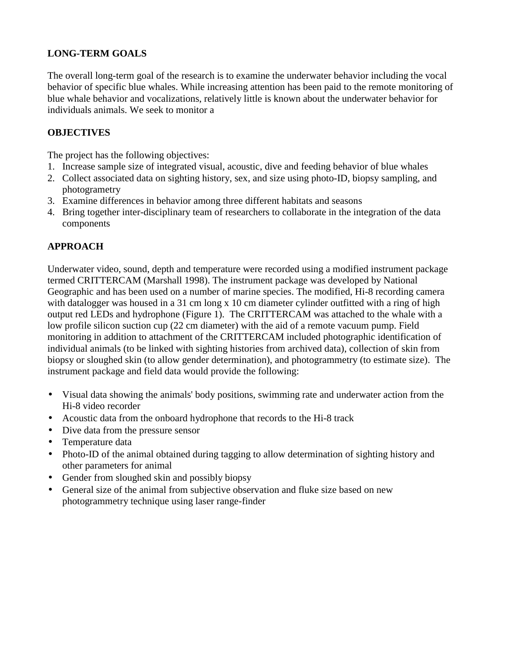## **LONG-TERM GOALS**

The overall long-term goal of the research is to examine the underwater behavior including the vocal behavior of specific blue whales. While increasing attention has been paid to the remote monitoring of blue whale behavior and vocalizations, relatively little is known about the underwater behavior for individuals animals. We seek to monitor a

#### **OBJECTIVES**

The project has the following objectives:

- 1. Increase sample size of integrated visual, acoustic, dive and feeding behavior of blue whales
- 2. Collect associated data on sighting history, sex, and size using photo-ID, biopsy sampling, and photogrametry
- 3. Examine differences in behavior among three different habitats and seasons
- 4. Bring together inter-disciplinary team of researchers to collaborate in the integration of the data components

# **APPROACH**

Underwater video, sound, depth and temperature were recorded using a modified instrument package termed CRITTERCAM (Marshall 1998). The instrument package was developed by National Geographic and has been used on a number of marine species. The modified, Hi-8 recording camera with datalogger was housed in a 31 cm long x 10 cm diameter cylinder outfitted with a ring of high output red LEDs and hydrophone (Figure 1). The CRITTERCAM was attached to the whale with a low profile silicon suction cup (22 cm diameter) with the aid of a remote vacuum pump. Field monitoring in addition to attachment of the CRITTERCAM included photographic identification of individual animals (to be linked with sighting histories from archived data), collection of skin from biopsy or sloughed skin (to allow gender determination), and photogrammetry (to estimate size). The instrument package and field data would provide the following:

- Visual data showing the animals' body positions, swimming rate and underwater action from the Hi-8 video recorder
- Acoustic data from the onboard hydrophone that records to the Hi-8 track
- Dive data from the pressure sensor
- Temperature data
- Photo-ID of the animal obtained during tagging to allow determination of sighting history and other parameters for animal
- Gender from sloughed skin and possibly biopsy
- General size of the animal from subjective observation and fluke size based on new photogrammetry technique using laser range-finder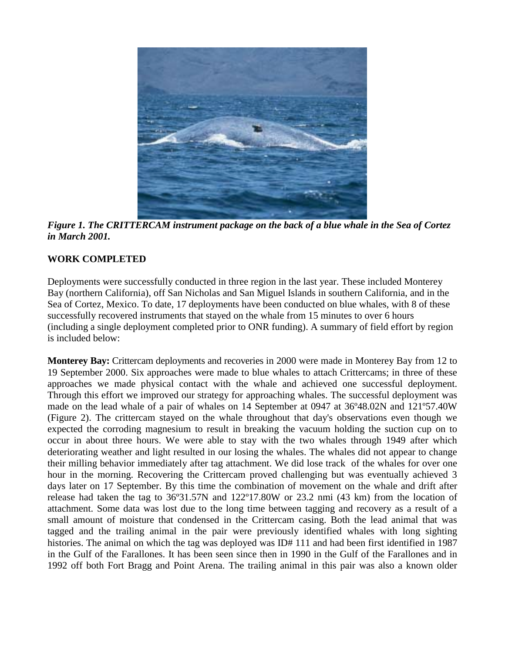

*Figure 1. The CRITTERCAM instrument package on the back of a blue whale in the Sea of Cortez in March 2001.* 

#### **WORK COMPLETED**

Deployments were successfully conducted in three region in the last year. These included Monterey Bay (northern California), off San Nicholas and San Miguel Islands in southern California, and in the Sea of Cortez, Mexico. To date, 17 deployments have been conducted on blue whales, with 8 of these successfully recovered instruments that stayed on the whale from 15 minutes to over 6 hours (including a single deployment completed prior to ONR funding). A summary of field effort by region is included below:

**Monterey Bay:** Crittercam deployments and recoveries in 2000 were made in Monterey Bay from 12 to 19 September 2000. Six approaches were made to blue whales to attach Crittercams; in three of these approaches we made physical contact with the whale and achieved one successful deployment. Through this effort we improved our strategy for approaching whales. The successful deployment was made on the lead whale of a pair of whales on 14 September at 0947 at 36º48.02N and 121º57.40W (Figure 2). The crittercam stayed on the whale throughout that day's observations even though we expected the corroding magnesium to result in breaking the vacuum holding the suction cup on to occur in about three hours. We were able to stay with the two whales through 1949 after which deteriorating weather and light resulted in our losing the whales. The whales did not appear to change their milling behavior immediately after tag attachment. We did lose track of the whales for over one hour in the morning. Recovering the Crittercam proved challenging but was eventually achieved 3 days later on 17 September. By this time the combination of movement on the whale and drift after release had taken the tag to 36º31.57N and 122º17.80W or 23.2 nmi (43 km) from the location of attachment. Some data was lost due to the long time between tagging and recovery as a result of a small amount of moisture that condensed in the Crittercam casing. Both the lead animal that was tagged and the trailing animal in the pair were previously identified whales with long sighting histories. The animal on which the tag was deployed was ID# 111 and had been first identified in 1987 in the Gulf of the Farallones. It has been seen since then in 1990 in the Gulf of the Farallones and in 1992 off both Fort Bragg and Point Arena. The trailing animal in this pair was also a known older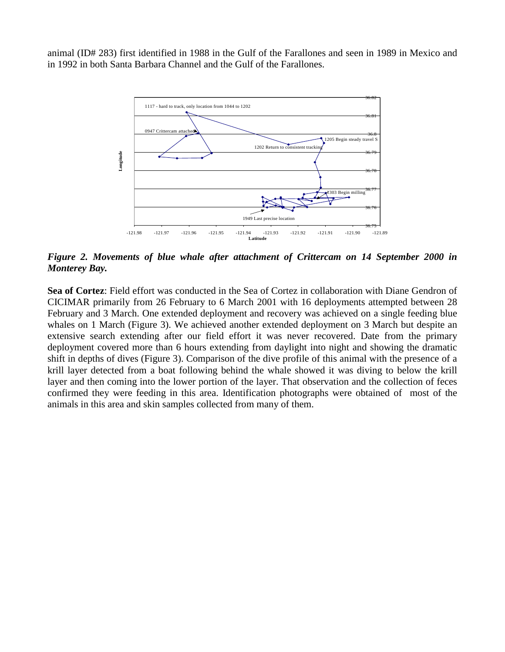animal (ID# 283) first identified in 1988 in the Gulf of the Farallones and seen in 1989 in Mexico and in 1992 in both Santa Barbara Channel and the Gulf of the Farallones.



*Figure 2. Movements of blue whale after attachment of Crittercam on 14 September 2000 in Monterey Bay.* 

**Sea of Cortez**: Field effort was conducted in the Sea of Cortez in collaboration with Diane Gendron of CICIMAR primarily from 26 February to 6 March 2001 with 16 deployments attempted between 28 February and 3 March. One extended deployment and recovery was achieved on a single feeding blue whales on 1 March (Figure 3). We achieved another extended deployment on 3 March but despite an extensive search extending after our field effort it was never recovered. Date from the primary deployment covered more than 6 hours extending from daylight into night and showing the dramatic shift in depths of dives (Figure 3). Comparison of the dive profile of this animal with the presence of a krill layer detected from a boat following behind the whale showed it was diving to below the krill layer and then coming into the lower portion of the layer. That observation and the collection of feces confirmed they were feeding in this area. Identification photographs were obtained of most of the animals in this area and skin samples collected from many of them.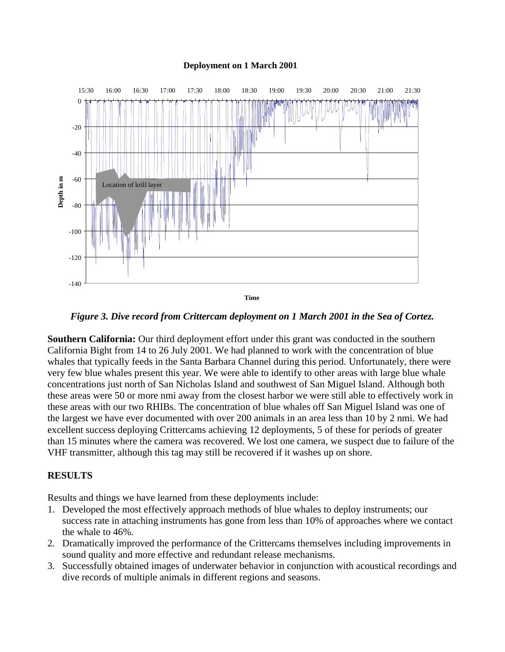#### **Deployment on 1 March 2001**



*Figure 3. Dive record from Crittercam deployment on 1 March 2001 in the Sea of Cortez.* 

**Southern California:** Our third deployment effort under this grant was conducted in the southern California Bight from 14 to 26 July 2001. We had planned to work with the concentration of blue whales that typically feeds in the Santa Barbara Channel during this period. Unfortunately, there were very few blue whales present this year. We were able to identify to other areas with large blue whale concentrations just north of San Nicholas Island and southwest of San Miguel Island. Although both these areas were 50 or more nmi away from the closest harbor we were still able to effectively work in these areas with our two RHIBs. The concentration of blue whales off San Miguel Island was one of the largest we have ever documented with over 200 animals in an area less than 10 by 2 nmi. We had excellent success deploying Crittercams achieving 12 deployments, 5 of these for periods of greater than 15 minutes where the camera was recovered. We lost one camera, we suspect due to failure of the VHF transmitter, although this tag may still be recovered if it washes up on shore.

#### **RESULTS**

Results and things we have learned from these deployments include:

- 1. Developed the most effectively approach methods of blue whales to deploy instruments; our success rate in attaching instruments has gone from less than 10% of approaches where we contact the whale to 46%.
- 2. Dramatically improved the performance of the Crittercams themselves including improvements in sound quality and more effective and redundant release mechanisms.
- 3. Successfully obtained images of underwater behavior in conjunction with acoustical recordings and dive records of multiple animals in different regions and seasons.